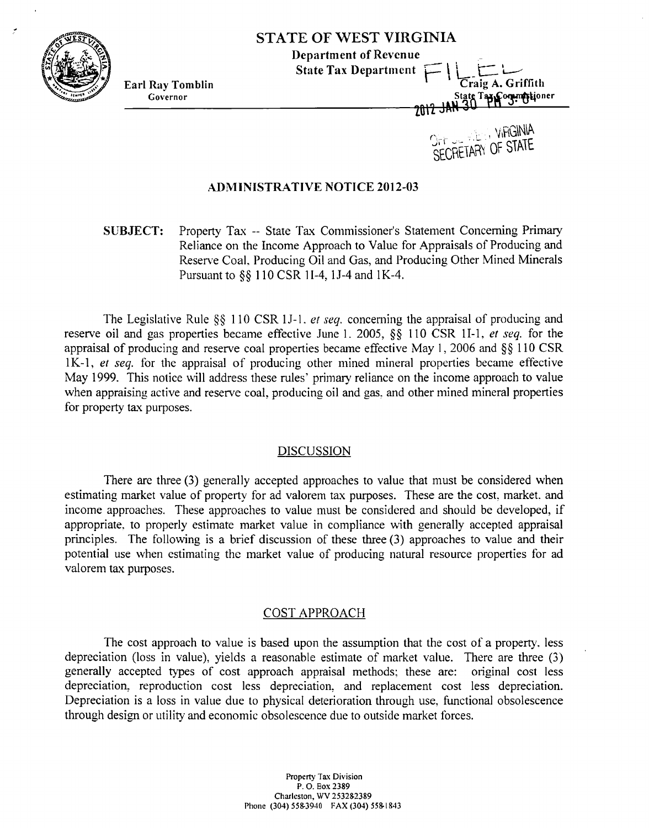

ŀ.

# **STATE OF WEST VIRGINIA**

**Department of Revenue Solution Control Control Control Control Control Control Control Control Control Control Control Control Control Control Control Control Control Control Control Control Control Control Control Control Control Control Cont** 

**Earl Ray Tomblin Craig A. Griffith Governor Coverse Contract Contract Contract Contract Contract Contract Contract Contract Contract Contract Contract Contract Contract Contract Contract Contract Contract Contract Contract Contract Contract Contract Cont** 

> $\int_{\Gamma}$   $\int_{\Gamma}$   $\frac{1}{\sqrt{2}}$  ,  $\int_{\Gamma}$  or etails SECRETAHY OF SINIL

### **ADMINISTRATIVE NOTICE 2012-03**

**SUBJECT:** Property Tax -- State Tax Commissioner's Statement Concerning Primary Reliance on the Income Approach to Value for Appraisals of Producing and Reserve Coal. Producing Oil and Gas, and Producing Other Mined Minerals Pursuant to *\$5* 1 10 CSR 1 1-4, 15-4 and 1K-4.

The Legislative Rule  $\S$  110 CSR 1J-1. *et seq.* concerning the appraisal of producing and reserve oil and gas properties became effective June 1. 2005, *\$5* 110 CSR 11-1. **el** seq. for the appraisal of producing and reserve coal properties became effective May 1,2006 and *\$5* 110 CSR  $1K-1$ , et seq. for the appraisal of producing other mined mineral properties became effective May 1999. This notice will address these rules' primary reliance on the income approach to value when appraising active and reserve coal, producing oil and gas, and other mined mineral properties for property tax purposes.

### **DISCUSSION**

There are three **(3)** generally accepted approaches to value that must be considered when estimating market value of property for ad valorem tax purposes. These are the cost. market. and income approaches. These approaches to value must be considered and should be developed, if appropriate. to properly estimate market value in compliance with generally accepted appraisal principles. The following is a brief discussion of these three (3) approaches to value and their potential use when estimating thc market value of producing natural resource properties for ad valorem tax purposes.

### COST APPROACH

The cost approach to value is based upon the assumption that the cost of a property. less depreciation (loss in value), yields a reasonable estimate of market value. There are three **(3)**  generally accepted types of cost approach appraisal methods; these are: original cost less depreciation, reproduction cost less depreciation, and replacement cost less depreciation. Depreciation is a loss in value due to physical deterioration through use, fimctional obsolescence through design or utility and economic obsolescence due to outside market lorces.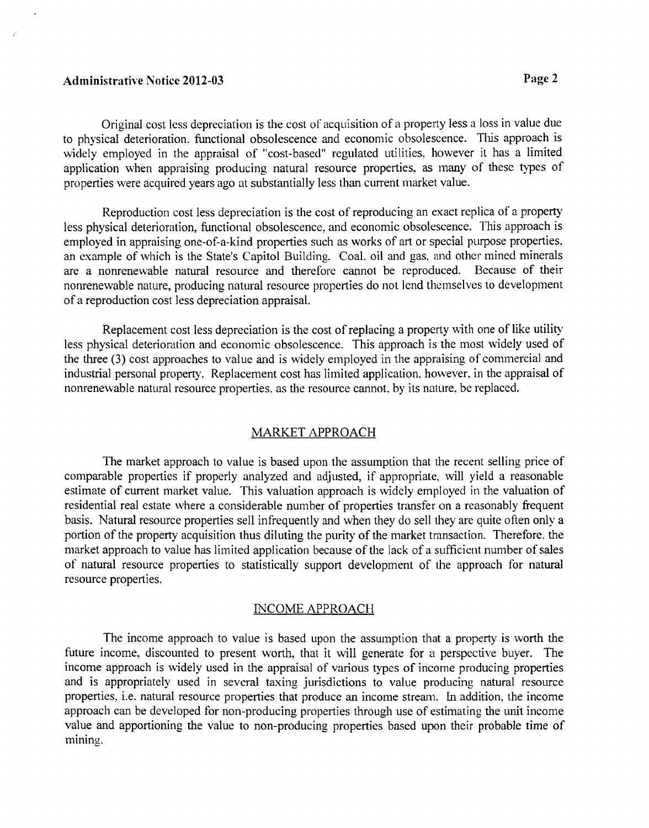## Administrative Notice 2012-03 Page 2

 $\epsilon$ 

Original cost less depreciation is the cost of acquisition of a property less a loss in value due to physical deterioration. functional obsolescence and economic obsolescence. This approach is widely employed in the appraisal of "cost-based" regulated utilities. however it has a limited application when appraising producing natural resource properties, as many of these types of properties were acquired years ago at substantially less than current market value.

Reproduction cost less depreciation is the cost of reproducing an exact replica of a property less physical deterioration, functional obsolescence, and economic obsolescence. This approach is employed in appraising one-of-a-kind properties such as works of art or special purpose properties. an example of which is the State's Capitol Building. Coal, oil and gas, and other mined minerals are a nonrenewable natural resource and therefore cannot be reproduced. Because of their are a nonrenewable natural resource and therefore cannot be reproduced. nonrenewable nature, producing natural resource properties do not lend themselves to development of a reproduction cost less depreciation appraisal.

Replacement cost less depreciation is the cost of replacing a property with one of like utility less physical deterioration and econornic obsolescence. This approach is the most widely used of the three  $(3)$  cost approaches to value and is widely employed in the appraising of commercial and industrial personal property. Replacement cost has limited application. however, in the appraisal of nonrenewable natural resource properties. as the resource cannot. by its nature. be replaced.

### MARKET APPROACH

The market approach to value is based upon the assumption that the recent selling price of comparable properties if properly analyzed and adjusted, if appropriate, will yield a reasonable estimate of current market value. This valuation approach is widely employed in the valuation of residential real estate where a considerable number of properties transfer on a reasonably frequent basis. Natural resource properties sell infrequently and when they do sell they arc quite often only a portion of the property acquisition thus diluting the purity of the market transaction. Therefore. the market approach to value has limited application because of the lack of a sufficient number of sales of natural resource properties to statistically support development of the approach for natural resource properties.

### INCOME APPROACH

The income approach to value is based upon the assumption that a property is worth the future income, discounted to present worth, that it will generate for a perspective buyer. The income approach is widely used in the appraisal of various types of income producing properties and is appropriately used in several taxing jurisdictions to value producing natural resource properties, i.e. natural resource properties that produce an income stream. In addition, the income approach can be developed for non-producing properties through use of estimating the unit income value and apportioning the value to non-producing properties based upon their probable time of mining.